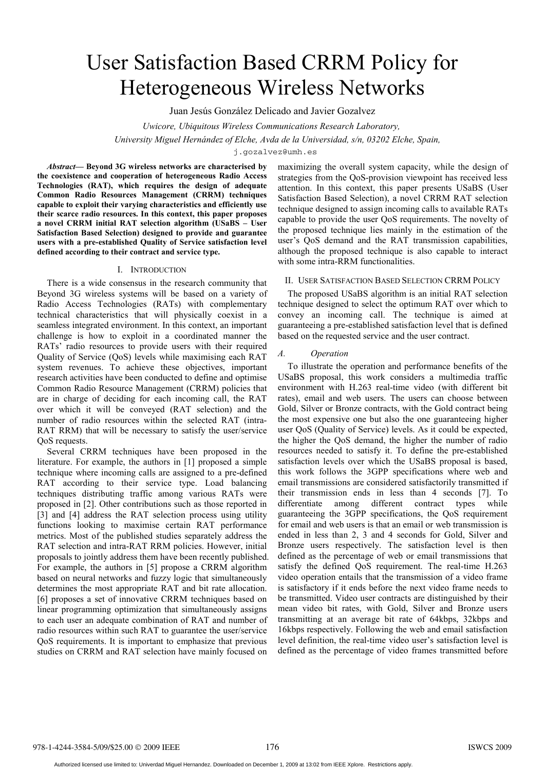# User Satisfaction Based CRRM Policy for Heterogeneous Wireless Networks

Juan Jesús González Delicado and Javier Gozalvez

*Uwicore, Ubiquitous Wireless Communications Research Laboratory,* 

*University Miguel Hernández of Elche, Avda de la Universidad, s/n, 03202 Elche, Spain,* 

j.gozalvez@umh.es

*Abstract***— Beyond 3G wireless networks are characterised by the coexistence and cooperation of heterogeneous Radio Access Technologies (RAT), which requires the design of adequate Common Radio Resources Management (CRRM) techniques capable to exploit their varying characteristics and efficiently use their scarce radio resources. In this context, this paper proposes a novel CRRM initial RAT selection algorithm (USaBS – User Satisfaction Based Selection) designed to provide and guarantee users with a pre-established Quality of Service satisfaction level defined according to their contract and service type.** 

## I. INTRODUCTION

There is a wide consensus in the research community that Beyond 3G wireless systems will be based on a variety of Radio Access Technologies (RATs) with complementary technical characteristics that will physically coexist in a seamless integrated environment. In this context, an important challenge is how to exploit in a coordinated manner the RATs' radio resources to provide users with their required Quality of Service (QoS) levels while maximising each RAT system revenues. To achieve these objectives, important research activities have been conducted to define and optimise Common Radio Resource Management (CRRM) policies that are in charge of deciding for each incoming call, the RAT over which it will be conveyed (RAT selection) and the number of radio resources within the selected RAT (intra-RAT RRM) that will be necessary to satisfy the user/service QoS requests.

Several CRRM techniques have been proposed in the literature. For example, the authors in [1] proposed a simple technique where incoming calls are assigned to a pre-defined RAT according to their service type. Load balancing techniques distributing traffic among various RATs were proposed in [2]. Other contributions such as those reported in [3] and [4] address the RAT selection process using utility functions looking to maximise certain RAT performance metrics. Most of the published studies separately address the RAT selection and intra-RAT RRM policies. However, initial proposals to jointly address them have been recently published. For example, the authors in [5] propose a CRRM algorithm based on neural networks and fuzzy logic that simultaneously determines the most appropriate RAT and bit rate allocation. [6] proposes a set of innovative CRRM techniques based on linear programming optimization that simultaneously assigns to each user an adequate combination of RAT and number of radio resources within such RAT to guarantee the user/service QoS requirements. It is important to emphasize that previous studies on CRRM and RAT selection have mainly focused on

maximizing the overall system capacity, while the design of strategies from the QoS-provision viewpoint has received less attention. In this context, this paper presents USaBS (User Satisfaction Based Selection), a novel CRRM RAT selection technique designed to assign incoming calls to available RATs capable to provide the user QoS requirements. The novelty of the proposed technique lies mainly in the estimation of the user's QoS demand and the RAT transmission capabilities, although the proposed technique is also capable to interact with some intra-RRM functionalities.

## II. USER SATISFACTION BASED SELECTION CRRM POLICY

The proposed USaBS algorithm is an initial RAT selection technique designed to select the optimum RAT over which to convey an incoming call. The technique is aimed at guaranteeing a pre-established satisfaction level that is defined based on the requested service and the user contract.

#### *A. Operation*

To illustrate the operation and performance benefits of the USaBS proposal, this work considers a multimedia traffic environment with H.263 real-time video (with different bit rates), email and web users. The users can choose between Gold, Silver or Bronze contracts, with the Gold contract being the most expensive one but also the one guaranteeing higher user QoS (Quality of Service) levels. As it could be expected, the higher the QoS demand, the higher the number of radio resources needed to satisfy it. To define the pre-established satisfaction levels over which the USaBS proposal is based, this work follows the 3GPP specifications where web and email transmissions are considered satisfactorily transmitted if their transmission ends in less than 4 seconds [7]. To differentiate among different contract types while guaranteeing the 3GPP specifications, the QoS requirement for email and web users is that an email or web transmission is ended in less than 2, 3 and 4 seconds for Gold, Silver and Bronze users respectively. The satisfaction level is then defined as the percentage of web or email transmissions that satisfy the defined QoS requirement. The real-time H.263 video operation entails that the transmission of a video frame is satisfactory if it ends before the next video frame needs to be transmitted. Video user contracts are distinguished by their mean video bit rates, with Gold, Silver and Bronze users transmitting at an average bit rate of 64kbps, 32kbps and 16kbps respectively. Following the web and email satisfaction level definition, the real-time video user's satisfaction level is defined as the percentage of video frames transmitted before

Authorized licensed use limited to: Univerdad Miguel Hernandez. Downloaded on December 1, 2009 at 13:02 from IEEE Xplore. Restrictions apply.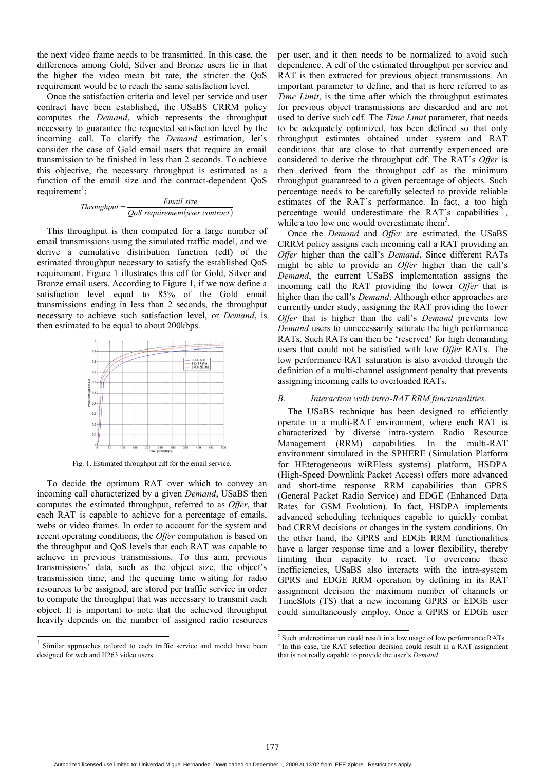the next video frame needs to be transmitted. In this case, the differences among Gold, Silver and Bronze users lie in that the higher the video mean bit rate, the stricter the QoS requirement would be to reach the same satisfaction level.

Once the satisfaction criteria and level per service and user contract have been established, the USaBS CRRM policy computes the *Demand*, which represents the throughput necessary to guarantee the requested satisfaction level by the incoming call. To clarify the *Demand* estimation, let's consider the case of Gold email users that require an email transmission to be finished in less than 2 seconds. To achieve this objective, the necessary throughput is estimated as a function of the email size and the contract-dependent QoS  $requirement$ <sup>1</sup>:

$$
Throughout = \frac{Email size}{QoS requirement(user contract)}
$$

This throughput is then computed for a large number of email transmissions using the simulated traffic model, and we derive a cumulative distribution function (cdf) of the estimated throughput necessary to satisfy the established QoS requirement. Figure 1 illustrates this cdf for Gold, Silver and Bronze email users. According to Figure 1, if we now define a satisfaction level equal to 85% of the Gold email transmissions ending in less than 2 seconds, the throughput necessary to achieve such satisfaction level, or *Demand*, is then estimated to be equal to about 200kbps.



Fig. 1. Estimated throughput cdf for the email service.

To decide the optimum RAT over which to convey an incoming call characterized by a given *Demand*, USaBS then computes the estimated throughput, referred to as *Offer*, that each RAT is capable to achieve for a percentage of emails, webs or video frames. In order to account for the system and recent operating conditions, the *Offer* computation is based on the throughput and QoS levels that each RAT was capable to achieve in previous transmissions. To this aim, previous transmissions' data, such as the object size, the object's transmission time, and the queuing time waiting for radio resources to be assigned, are stored per traffic service in order to compute the throughput that was necessary to transmit each object. It is important to note that the achieved throughput heavily depends on the number of assigned radio resources

per user, and it then needs to be normalized to avoid such dependence. A cdf of the estimated throughput per service and RAT is then extracted for previous object transmissions. An important parameter to define, and that is here referred to as *Time Limit*, is the time after which the throughput estimates for previous object transmissions are discarded and are not used to derive such cdf. The *Time Limit* parameter, that needs to be adequately optimized, has been defined so that only throughput estimates obtained under system and RAT conditions that are close to that currently experienced are considered to derive the throughput cdf. The RAT's *Offer* is then derived from the throughput cdf as the minimum throughput guaranteed to a given percentage of objects. Such percentage needs to be carefully selected to provide reliable estimates of the RAT's performance. In fact, a too high percentage would underestimate the RAT's capabilities<sup>2</sup>, while a too low one would overestimate them<sup>3</sup>.

Once the *Demand* and *Offer* are estimated, the USaBS CRRM policy assigns each incoming call a RAT providing an *Offer* higher than the call's *Demand*. Since different RATs might be able to provide an *Offer* higher than the call's *Demand*, the current USaBS implementation assigns the incoming call the RAT providing the lower *Offer* that is higher than the call's *Demand*. Although other approaches are currently under study, assigning the RAT providing the lower *Offer* that is higher than the call's *Demand* prevents low *Demand* users to unnecessarily saturate the high performance RATs. Such RATs can then be 'reserved' for high demanding users that could not be satisfied with low *Offer* RATs. The low performance RAT saturation is also avoided through the definition of a multi-channel assignment penalty that prevents assigning incoming calls to overloaded RATs.

## *B. Interaction with intra-RAT RRM functionalities*

The USaBS technique has been designed to efficiently operate in a multi-RAT environment, where each RAT is characterized by diverse intra-system Radio Resource Management (RRM) capabilities. In the multi-RAT environment simulated in the SPHERE (Simulation Platform for HEterogeneous wiREless systems) platform, HSDPA (High-Speed Downlink Packet Access) offers more advanced and short-time response RRM capabilities than GPRS (General Packet Radio Service) and EDGE (Enhanced Data Rates for GSM Evolution). In fact, HSDPA implements advanced scheduling techniques capable to quickly combat bad CRRM decisions or changes in the system conditions. On the other hand, the GPRS and EDGE RRM functionalities have a larger response time and a lower flexibility, thereby limiting their capacity to react. To overcome these inefficiencies, USaBS also interacts with the intra-system GPRS and EDGE RRM operation by defining in its RAT assignment decision the maximum number of channels or TimeSlots (TS) that a new incoming GPRS or EDGE user could simultaneously employ. Once a GPRS or EDGE user

 $1$  Similar approaches tailored to each traffic service and model have been designed for web and H263 video users.

**EXECUTE:** 8 Such underestimation could result in a low usage of low performance RATs. <sup>3</sup> In this case, the RAT selection decision could result in a RAT assignment that is not really capable to provide the user's *Demand*.

Authorized licensed use limited to: Univerdad Miguel Hernandez. Downloaded on December 1, 2009 at 13:02 from IEEE Xplore. Restrictions apply.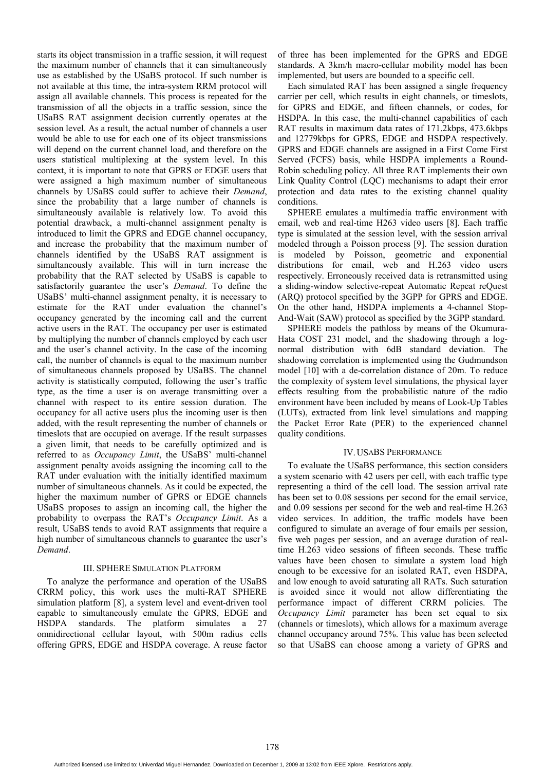starts its object transmission in a traffic session, it will request the maximum number of channels that it can simultaneously use as established by the USaBS protocol. If such number is not available at this time, the intra-system RRM protocol will assign all available channels. This process is repeated for the transmission of all the objects in a traffic session, since the USaBS RAT assignment decision currently operates at the session level. As a result, the actual number of channels a user would be able to use for each one of its object transmissions will depend on the current channel load, and therefore on the users statistical multiplexing at the system level. In this context, it is important to note that GPRS or EDGE users that were assigned a high maximum number of simultaneous channels by USaBS could suffer to achieve their *Demand*, since the probability that a large number of channels is simultaneously available is relatively low. To avoid this potential drawback, a multi-channel assignment penalty is introduced to limit the GPRS and EDGE channel occupancy, and increase the probability that the maximum number of channels identified by the USaBS RAT assignment is simultaneously available. This will in turn increase the probability that the RAT selected by USaBS is capable to satisfactorily guarantee the user's *Demand*. To define the USaBS' multi-channel assignment penalty, it is necessary to estimate for the RAT under evaluation the channel's occupancy generated by the incoming call and the current active users in the RAT. The occupancy per user is estimated by multiplying the number of channels employed by each user and the user's channel activity. In the case of the incoming call, the number of channels is equal to the maximum number of simultaneous channels proposed by USaBS. The channel activity is statistically computed, following the user's traffic type, as the time a user is on average transmitting over a channel with respect to its entire session duration. The occupancy for all active users plus the incoming user is then added, with the result representing the number of channels or timeslots that are occupied on average. If the result surpasses a given limit, that needs to be carefully optimized and is referred to as *Occupancy Limit*, the USaBS' multi-channel assignment penalty avoids assigning the incoming call to the RAT under evaluation with the initially identified maximum number of simultaneous channels. As it could be expected, the higher the maximum number of GPRS or EDGE channels USaBS proposes to assign an incoming call, the higher the probability to overpass the RAT's *Occupancy Limit*. As a result, USaBS tends to avoid RAT assignments that require a high number of simultaneous channels to guarantee the user's *Demand*.

#### III. SPHERE SIMULATION PLATFORM

To analyze the performance and operation of the USaBS CRRM policy, this work uses the multi-RAT SPHERE simulation platform [8], a system level and event-driven tool capable to simultaneously emulate the GPRS, EDGE and HSDPA standards. The platform simulates a 27 omnidirectional cellular layout, with 500m radius cells offering GPRS, EDGE and HSDPA coverage. A reuse factor of three has been implemented for the GPRS and EDGE standards. A 3km/h macro-cellular mobility model has been implemented, but users are bounded to a specific cell.

Each simulated RAT has been assigned a single frequency carrier per cell, which results in eight channels, or timeslots, for GPRS and EDGE, and fifteen channels, or codes, for HSDPA. In this case, the multi-channel capabilities of each RAT results in maximum data rates of 171.2kbps, 473.6kbps and 12779kbps for GPRS, EDGE and HSDPA respectively. GPRS and EDGE channels are assigned in a First Come First Served (FCFS) basis, while HSDPA implements a Round-Robin scheduling policy. All three RAT implements their own Link Quality Control (LQC) mechanisms to adapt their error protection and data rates to the existing channel quality conditions.

SPHERE emulates a multimedia traffic environment with email, web and real-time H263 video users [8]. Each traffic type is simulated at the session level, with the session arrival modeled through a Poisson process [9]. The session duration is modeled by Poisson, geometric and exponential distributions for email, web and H.263 video users respectively. Erroneously received data is retransmitted using a sliding-window selective-repeat Automatic Repeat reQuest (ARQ) protocol specified by the 3GPP for GPRS and EDGE. On the other hand, HSDPA implements a 4-channel Stop-And-Wait (SAW) protocol as specified by the 3GPP standard.

SPHERE models the pathloss by means of the Okumura-Hata COST 231 model, and the shadowing through a lognormal distribution with 6dB standard deviation. The shadowing correlation is implemented using the Gudmundson model [10] with a de-correlation distance of 20m. To reduce the complexity of system level simulations, the physical layer effects resulting from the probabilistic nature of the radio environment have been included by means of Look-Up Tables (LUTs), extracted from link level simulations and mapping the Packet Error Rate (PER) to the experienced channel quality conditions.

#### IV.USABS PERFORMANCE

To evaluate the USaBS performance, this section considers a system scenario with 42 users per cell, with each traffic type representing a third of the cell load. The session arrival rate has been set to 0.08 sessions per second for the email service, and 0.09 sessions per second for the web and real-time H.263 video services. In addition, the traffic models have been configured to simulate an average of four emails per session, five web pages per session, and an average duration of realtime H.263 video sessions of fifteen seconds. These traffic values have been chosen to simulate a system load high enough to be excessive for an isolated RAT, even HSDPA, and low enough to avoid saturating all RATs. Such saturation is avoided since it would not allow differentiating the performance impact of different CRRM policies. The *Occupancy Limit* parameter has been set equal to six (channels or timeslots), which allows for a maximum average channel occupancy around 75%. This value has been selected so that USaBS can choose among a variety of GPRS and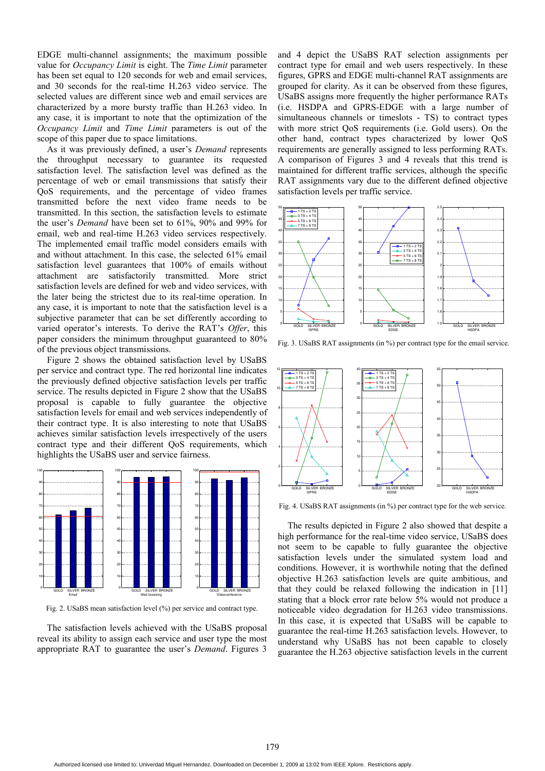EDGE multi-channel assignments; the maximum possible value for *Occupancy Limit* is eight. The *Time Limit* parameter has been set equal to 120 seconds for web and email services, and 30 seconds for the real-time H.263 video service. The selected values are different since web and email services are characterized by a more bursty traffic than H.263 video. In any case, it is important to note that the optimization of the *Occupancy Limit* and *Time Limit* parameters is out of the scope of this paper due to space limitations.

As it was previously defined, a user's *Demand* represents the throughput necessary to guarantee its requested satisfaction level. The satisfaction level was defined as the percentage of web or email transmissions that satisfy their QoS requirements, and the percentage of video frames transmitted before the next video frame needs to be transmitted. In this section, the satisfaction levels to estimate the user's *Demand* have been set to 61%, 90% and 99% for email, web and real-time H.263 video services respectively. The implemented email traffic model considers emails with and without attachment. In this case, the selected 61% email satisfaction level guarantees that 100% of emails without attachment are satisfactorily transmitted. More strict satisfaction levels are defined for web and video services, with the later being the strictest due to its real-time operation. In any case, it is important to note that the satisfaction level is a subjective parameter that can be set differently according to varied operator's interests. To derive the RAT's *Offer*, this paper considers the minimum throughput guaranteed to 80% of the previous object transmissions.

Figure 2 shows the obtained satisfaction level by USaBS per service and contract type. The red horizontal line indicates the previously defined objective satisfaction levels per traffic service. The results depicted in Figure 2 show that the USaBS proposal is capable to fully guarantee the objective satisfaction levels for email and web services independently of their contract type. It is also interesting to note that USaBS achieves similar satisfaction levels irrespectively of the users contract type and their different QoS requirements, which highlights the USaBS user and service fairness.



Fig. 2. USaBS mean satisfaction level (%) per service and contract type.

The satisfaction levels achieved with the USaBS proposal reveal its ability to assign each service and user type the most appropriate RAT to guarantee the user's *Demand*. Figures 3

and 4 depict the USaBS RAT selection assignments per contract type for email and web users respectively. In these figures, GPRS and EDGE multi-channel RAT assignments are grouped for clarity. As it can be observed from these figures, USaBS assigns more frequently the higher performance RATs (i.e. HSDPA and GPRS-EDGE with a large number of simultaneous channels or timeslots - TS) to contract types with more strict OoS requirements (i.e. Gold users). On the other hand, contract types characterized by lower QoS requirements are generally assigned to less performing RATs. A comparison of Figures 3 and 4 reveals that this trend is maintained for different traffic services, although the specific RAT assignments vary due to the different defined objective satisfaction levels per traffic service.



Fig. 3. USaBS RAT assignments (in %) per contract type for the email service.



Fig. 4. USaBS RAT assignments (in %) per contract type for the web service.

The results depicted in Figure 2 also showed that despite a high performance for the real-time video service, USaBS does not seem to be capable to fully guarantee the objective satisfaction levels under the simulated system load and conditions. However, it is worthwhile noting that the defined objective H.263 satisfaction levels are quite ambitious, and that they could be relaxed following the indication in [11] stating that a block error rate below 5% would not produce a noticeable video degradation for H.263 video transmissions. In this case, it is expected that USaBS will be capable to guarantee the real-time H.263 satisfaction levels. However, to understand why USaBS has not been capable to closely guarantee the H.263 objective satisfaction levels in the current

Authorized licensed use limited to: Univerdad Miguel Hernandez. Downloaded on December 1, 2009 at 13:02 from IEEE Xplore. Restrictions apply.